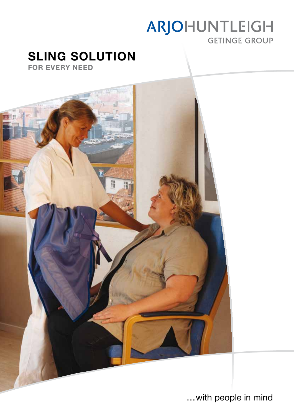# ARJOHUNTLEIGH **GETINGE GROUP**

# SLING SOLUTION

For every need



…with people in mind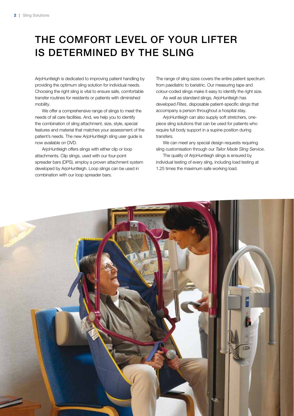# the comfort level of your lifter is determined by the sling

ArjoHuntleigh is dedicated to improving patient handling by providing the optimum sling solution for individual needs. Choosing the right sling is vital to ensure safe, comfortable transfer routines for residents or patients with diminished mobility.

We offer a comprehensive range of slings to meet the needs of all care facilities. And, we help you to identify the combination of sling attachment, size, style, special features and material that matches your assessment of the patient's needs. The new ArjoHuntleigh sling user guide is now available on DVD.

ArjoHuntleigh offers slings with either clip or loop attachments. Clip slings, used with our four-point spreader bars (DPS), employ a proven attachment system developed by ArjoHuntleigh. Loop slings can be used in combination with our loop spreader bars.

The range of sling sizes covers the entire patient spectrum from paediatric to bariatric. Our measuring tape and colour-coded slings make it easy to identify the right size.

As well as standard slings, ArjoHuntleigh has developed *Flites*, disposable patient-specific slings that accompany a person throughout a hospital stay.

ArjoHuntleigh can also supply soft stretchers, onepiece sling solutions that can be used for patients who require full body support in a supine position during transfers.

We can meet any special design requests requiring sling customisation through our *Tailor Made Sling Service*.

The quality of ArioHuntleigh slings is ensured by individual testing of every sling, including load testing at 1.25 times the maximum safe working load.

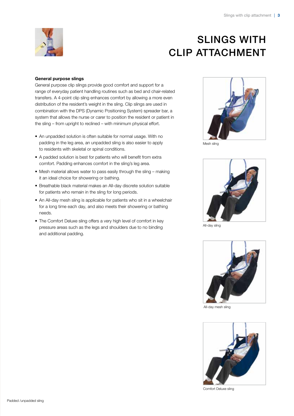

# **SLINGS WITH** clip attachment

### General purpose slings

General purpose clip slings provide good comfort and support for a range of everyday patient handling routines such as bed and chair-related transfers. A 4-point clip sling enhances comfort by allowing a more even distribution of the resident's weight in the sling. Clip slings are used in combination with the DPS (Dynamic Positioning System) spreader bar, a system that allows the nurse or carer to position the resident or patient in the sling – from upright to reclined – with minimum physical effort.

- An unpadded solution is often suitable for normal usage. With no padding in the leg area, an unpadded sling is also easier to apply to residents with skeletal or spinal conditions.
- A padded solution is best for patients who will benefit from extra comfort. Padding enhances comfort in the sling's leg area.
- Mesh material allows water to pass easily through the sling making it an ideal choice for showering or bathing.
- Breathable black material makes an All-day discrete solution suitable for patients who remain in the sling for long periods.
- An All-day mesh sling is applicable for patients who sit in a wheelchair for a long time each day, and also meets their showering or bathing needs.
- The Comfort Deluxe sling offers a very high level of comfort in key pressure areas such as the legs and shoulders due to no binding and additional padding.



Mesh sling



All-day sling



All-day mesh sling



Comfort Deluxe sling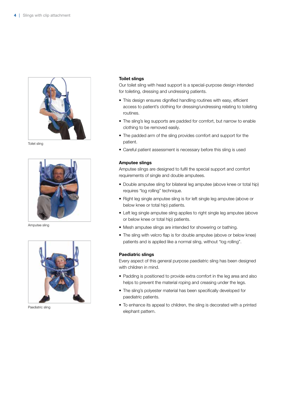

Toilet sling



Amputee sling



Paediatric sling

### Toilet slings

Our toilet sling with head support is a special-purpose design intended for toileting, dressing and undressing patients.

- This design ensures dignified handling routines with easy, efficient access to patient's clothing for dressing/undressing relating to toileting routines.
- The sling's leg supports are padded for comfort, but narrow to enable clothing to be removed easily.
- The padded arm of the sling provides comfort and support for the patient.
- Careful patient assessment is necessary before this sling is used

### Amputee slings

Amputee slings are designed to fulfil the special support and comfort requirements of single and double amputees.

- Double amputee sling for bilateral leg amputee (above knee or total hip) requires "log rolling" technique.
- Right leg single amputee sling is for left single leg amputee (above or below knee or total hip) patients.
- Left leg single amputee sling applies to right single leg amputee (above or below knee or total hip) patients.
- Mesh amputee slings are intended for showering or bathing.
- The sling with velcro flap is for double amputee (above or below knee) patients and is applied like a normal sling, without "log rolling".

### Paediatric slings

Every aspect of this general purpose paediatric sling has been designed with children in mind.

- Padding is positioned to provide extra comfort in the leg area and also helps to prevent the material roping and creasing under the legs.
- The sling's polyester material has been specifically developed for paediatric patients.
- To enhance its appeal to children, the sling is decorated with a printed elephant pattern.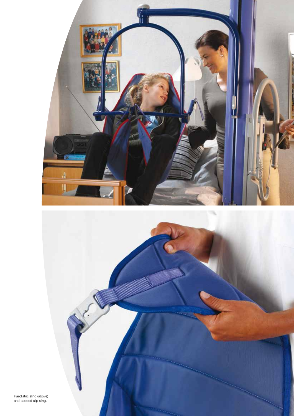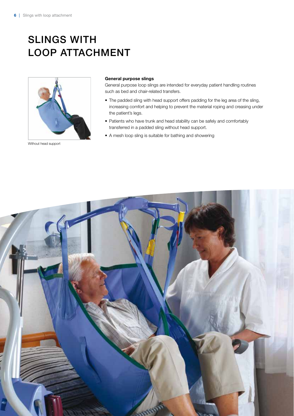# **SLINGS WITH** LOOP ATTACHMENT



Without head support

#### General purpose slings

General purpose loop slings are intended for everyday patient handling routines such as bed and chair-related transfers.

- The padded sling with head support offers padding for the leg area of the sling, increasing comfort and helping to prevent the material roping and creasing under the patient's legs.
- Patients who have trunk and head stability can be safely and comfortably transferred in a padded sling without head support.
- A mesh loop sling is suitable for bathing and showering

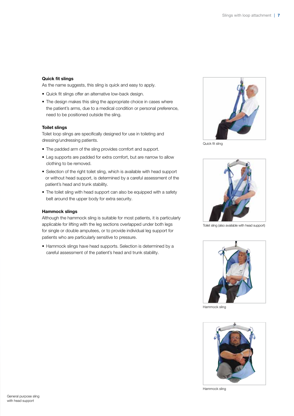### Quick fit slings

As the name suggests, this sling is quick and easy to apply.

- • Quick fit slings offer an alternative low-back design.
- The design makes this sling the appropriate choice in cases where the patient's arms, due to a medical condition or personal preference, need to be positioned outside the sling.

### Toilet slings

Toilet loop slings are specifically designed for use in toileting and dressing/undressing patients.

- The padded arm of the sling provides comfort and support.
- Leg supports are padded for extra comfort, but are narrow to allow clothing to be removed.
- Selection of the right toilet sling, which is available with head support or without head support, is determined by a careful assessment of the patient's head and trunk stability.
- The toilet sling with head support can also be equipped with a safety belt around the upper body for extra security.

#### Hammock slings

Although the hammock sling is suitable for most patients, it is particularly applicable for lifting with the leg sections overlapped under both legs for single or double amputees, or to provide individual leg support for patients who are particularly sensitive to pressure.

• Hammock slings have head supports. Selection is determined by a careful assessment of the patient's head and trunk stability.



Quick fit sling



Toilet sling (also available with head support)



Hammock sling



Hammock sling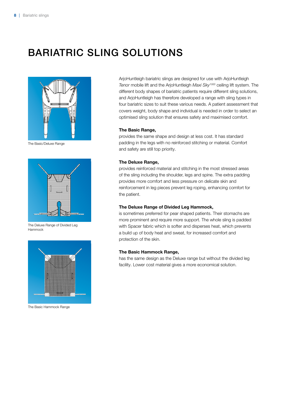# BARIATRIC SLING SOLUTIONS



The Basic/Deluxe Range



The Deluxe Range of Divided Leg Hammock



The Basic Hammock Range

ArjoHuntleigh bariatric slings are designed for use with ArjoHuntleigh *Tenor* mobile lift and the ArjoHuntleigh *Maxi Sky1000* ceiling lift system. The different body shapes of bariatric patients require different sling solutions, and ArjoHuntleigh has therefore developed a range with sling types in four bariatric sizes to suit these various needs. A patient assessment that covers weight, body shape and individual is needed in order to select an optimised sling solution that ensures safety and maximised comfort.

#### The Basic Range,

provides the same shape and design at less cost. It has standard padding in the legs with no reinforced stitching or material. Comfort and safety are still top priority.

#### The Deluxe Range,

provides reinforced material and stitching in the most stressed areas of the sling including the shoulder, legs and spine. The extra padding provides more comfort and less pressure on delicate skin and reinforcement in leg pieces prevent leg roping, enhancing comfort for the patient.

### The Deluxe Range of Divided Leg Hammock,

is sometimes preferred for pear shaped patients. Their stomachs are more prominent and require more support. The whole sling is padded with Spacer fabric which is softer and disperses heat, which prevents a build up of body heat and sweat, for increased comfort and protection of the skin.

#### The Basic Hammock Range,

has the same design as the Deluxe range but without the divided leg facility. Lower cost material gives a more economical solution.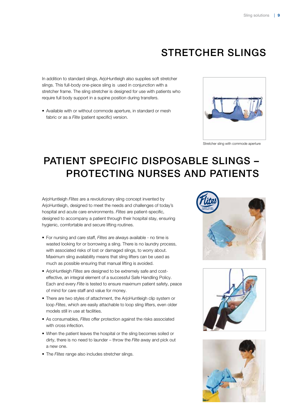## stretcher slings

In addition to standard slings, ArjoHuntleigh also supplies soft stretcher slings. This full-body one-piece sling is used in conjunction with a stretcher frame. The sling stretcher is designed for use with patients who require full body support in a supine position during transfers.

• Available with or without commode aperture, in standard or mesh fabric or as a *Flite* (patient specific) version.



Stretcher sling with commode aperture

# patient specific disposable slings – protecting nurses and patients

ArjoHuntleigh *Flites* are a revolutionary sling concept invented by ArjoHuntleigh, designed to meet the needs and challenges of today's hospital and acute care environments. *Flites* are patient-specific, designed to accompany a patient through their hospital stay, ensuring hygienic, comfortable and secure lifting routines.

- • For nursing and care staff, *Flites* are always available no time is wasted looking for or borrowing a sling. There is no laundry process, with associated risks of lost or damaged slings, to worry about. Maximum sling availability means that sling lifters can be used as much as possible ensuring that manual lifting is avoided.
- • ArjoHuntleigh *Flites* are designed to be extremely safe and costeffective, an integral element of a successful Safe Handling Policy. Each and every *Flite* is tested to ensure maximum patient safety, peace of mind for care staff and value for money.
- There are two styles of attachment, the ArjoHuntleigh clip system or loop *Flites*, which are easily attachable to loop sling lifters, even older models still in use at facilities.
- As consumables, *Flites* offer protection against the risks associated with cross infection.
- When the patient leaves the hospital or the sling becomes soiled or dirty, there is no need to launder – throw the *Flite* away and pick out a new one.
- The *Flites* range also includes stretcher slings.





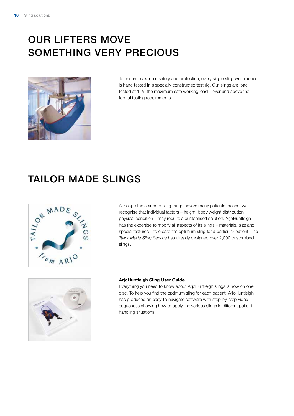# our lifters move something very precious



To ensure maximum safety and protection, every single sling we produce is hand tested in a specially constructed test rig. Our slings are load tested at 1.25 the maximum safe working load – over and above the formal testing requirements.

### Tailor made slings



Although the standard sling range covers many patients' needs, we recognise that individual factors – height, body weight distribution, physical condition – may require a customised solution. ArjoHuntleigh has the expertise to modify all aspects of its slings – materials, size and special features – to create the optimum sling for a particular patient. The *Tailor Made Sling Service* has already designed over 2,000 customised slings.



#### ArjoHuntleigh Sling User Guide

Everything you need to know about ArjoHuntleigh slings is now on one disc. To help you find the optimum sling for each patient, ArjoHuntleigh has produced an easy-to-navigate software with step-by-step video sequences showing how to apply the various slings in different patient handling situations.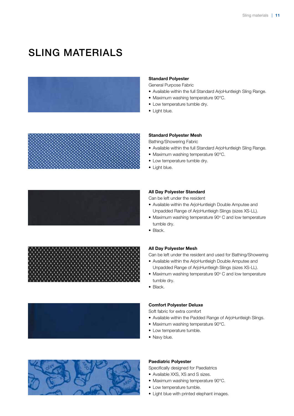### SLING MATERIALS













### Standard Polyester

General Purpose Fabric

- Available within the full Standard ArjoHuntleigh Sling Range.
- Maximum washing temperature 90°C.
- Low temperature tumble dry.
- Light blue.

#### Standard Polyester Mesh

Bathing/Showering Fabric

- Available within the full Standard ArjoHuntleigh Sling Range.
- Maximum washing temperature 90°C.
- Low temperature tumble dry.
- Light blue.

### All Day Polyester Standard

Can be left under the resident

- Available within the ArjoHuntleigh Double Amputee and Unpadded Range of ArjoHuntleigh Slings (sizes XS-LL).
- Maximum washing temperature 90° C and low temperature tumble dry.
- Black.

### All Day Polyester Mesh

Can be left under the resident and used for Bathing/Showering

- Available within the ArjoHuntleigh Double Amputee and Unpadded Range of ArjoHuntleigh Slings (sizes XS-LL).
- Maximum washing temperature 90° C and low temperature tumble dry.
- Black.

### Comfort Polyester Deluxe

Soft fabric for extra comfort

- Available within the Padded Range of ArjoHuntleigh Slings.
- Maximum washing temperature 90°C.
- Low temperature tumble.
- Navy blue.

### Paediatric Polyester

Specifically designed for Paediatrics

- Available XXS, XS and S sizes.
- Maximum washing temperature 90°C.
- Low temperature tumble.
- Light blue with printed elephant images.